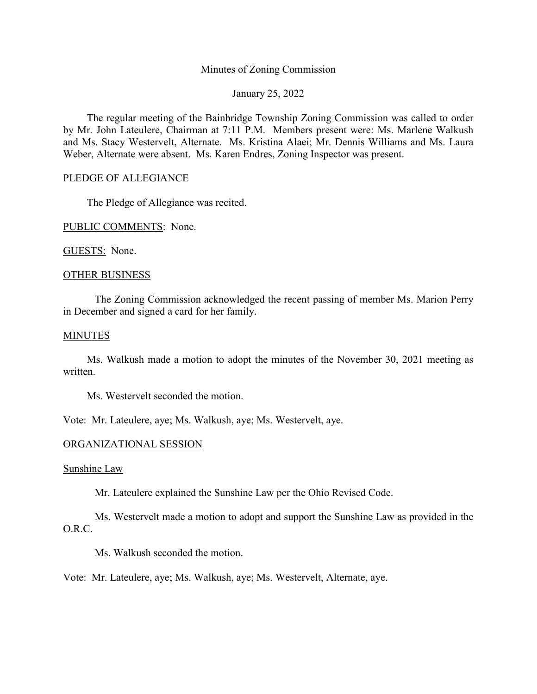# Minutes of Zoning Commission

January 25, 2022

The regular meeting of the Bainbridge Township Zoning Commission was called to order by Mr. John Lateulere, Chairman at 7:11 P.M. Members present were: Ms. Marlene Walkush and Ms. Stacy Westervelt, Alternate. Ms. Kristina Alaei; Mr. Dennis Williams and Ms. Laura Weber, Alternate were absent. Ms. Karen Endres, Zoning Inspector was present.

# PLEDGE OF ALLEGIANCE

The Pledge of Allegiance was recited.

PUBLIC COMMENTS: None.

GUESTS: None.

### OTHER BUSINESS

The Zoning Commission acknowledged the recent passing of member Ms. Marion Perry in December and signed a card for her family.

### **MINUTES**

Ms. Walkush made a motion to adopt the minutes of the November 30, 2021 meeting as written.

Ms. Westervelt seconded the motion.

Vote: Mr. Lateulere, aye; Ms. Walkush, aye; Ms. Westervelt, aye.

### ORGANIZATIONAL SESSION

Sunshine Law

Mr. Lateulere explained the Sunshine Law per the Ohio Revised Code.

Ms. Westervelt made a motion to adopt and support the Sunshine Law as provided in the O.R.C.

Ms. Walkush seconded the motion.

Vote: Mr. Lateulere, aye; Ms. Walkush, aye; Ms. Westervelt, Alternate, aye.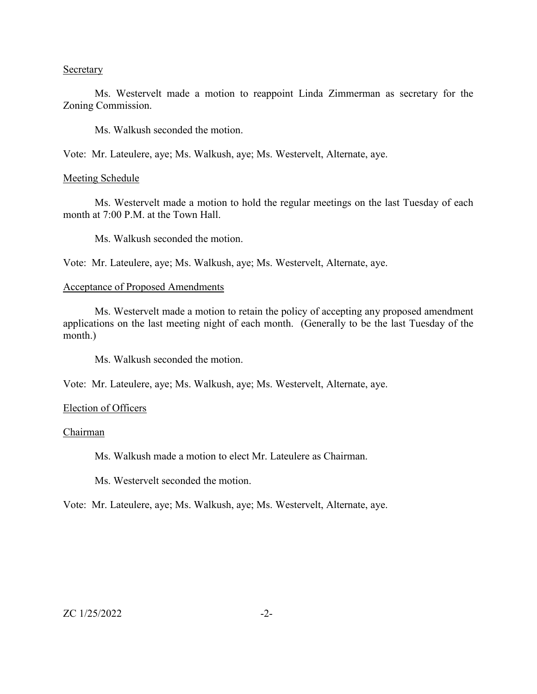### **Secretary**

Ms. Westervelt made a motion to reappoint Linda Zimmerman as secretary for the Zoning Commission.

Ms. Walkush seconded the motion.

Vote: Mr. Lateulere, aye; Ms. Walkush, aye; Ms. Westervelt, Alternate, aye.

## Meeting Schedule

Ms. Westervelt made a motion to hold the regular meetings on the last Tuesday of each month at 7:00 P.M. at the Town Hall.

Ms. Walkush seconded the motion.

Vote: Mr. Lateulere, aye; Ms. Walkush, aye; Ms. Westervelt, Alternate, aye.

# Acceptance of Proposed Amendments

Ms. Westervelt made a motion to retain the policy of accepting any proposed amendment applications on the last meeting night of each month. (Generally to be the last Tuesday of the month.)

Ms. Walkush seconded the motion.

Vote: Mr. Lateulere, aye; Ms. Walkush, aye; Ms. Westervelt, Alternate, aye.

#### Election of Officers

### Chairman

Ms. Walkush made a motion to elect Mr. Lateulere as Chairman.

Ms. Westervelt seconded the motion.

Vote: Mr. Lateulere, aye; Ms. Walkush, aye; Ms. Westervelt, Alternate, aye.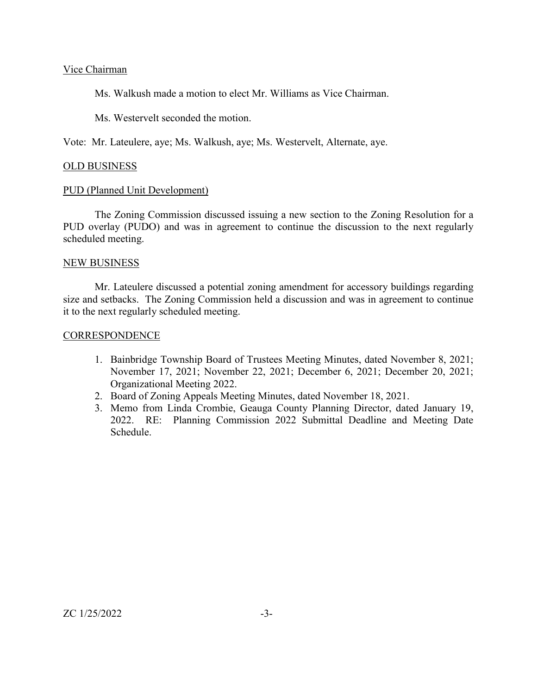# Vice Chairman

Ms. Walkush made a motion to elect Mr. Williams as Vice Chairman.

Ms. Westervelt seconded the motion.

Vote: Mr. Lateulere, aye; Ms. Walkush, aye; Ms. Westervelt, Alternate, aye.

## OLD BUSINESS

### PUD (Planned Unit Development)

The Zoning Commission discussed issuing a new section to the Zoning Resolution for a PUD overlay (PUDO) and was in agreement to continue the discussion to the next regularly scheduled meeting.

## NEW BUSINESS

Mr. Lateulere discussed a potential zoning amendment for accessory buildings regarding size and setbacks. The Zoning Commission held a discussion and was in agreement to continue it to the next regularly scheduled meeting.

## **CORRESPONDENCE**

- 1. Bainbridge Township Board of Trustees Meeting Minutes, dated November 8, 2021; November 17, 2021; November 22, 2021; December 6, 2021; December 20, 2021; Organizational Meeting 2022.
- 2. Board of Zoning Appeals Meeting Minutes, dated November 18, 2021.
- 3. Memo from Linda Crombie, Geauga County Planning Director, dated January 19, 2022. RE: Planning Commission 2022 Submittal Deadline and Meeting Date Schedule.